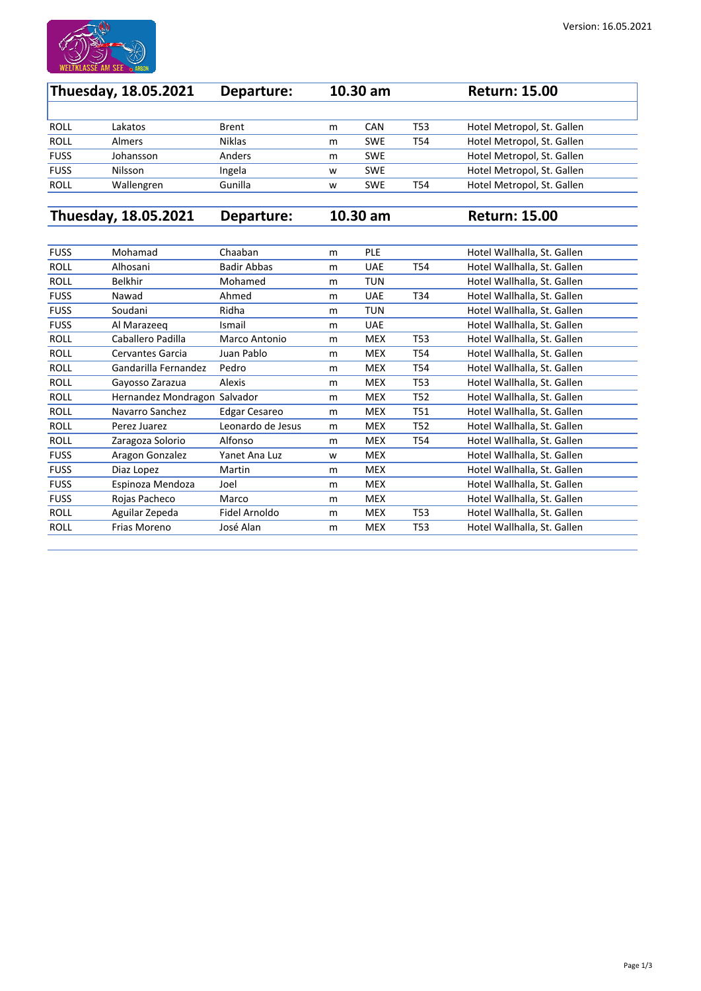

| Thuesday, 18.05.2021 |               | Departure:    | $10.30$ am |            |     | <b>Return: 15.00</b>       |  |
|----------------------|---------------|---------------|------------|------------|-----|----------------------------|--|
|                      |               |               |            |            |     |                            |  |
| <b>ROLL</b>          | Lakatos       | <b>Brent</b>  | m          | <b>CAN</b> | T53 | Hotel Metropol, St. Gallen |  |
| <b>ROLL</b>          | <b>Almers</b> | <b>Niklas</b> | m          | <b>SWE</b> | T54 | Hotel Metropol, St. Gallen |  |
| <b>FUSS</b>          | Johansson     | Anders        | m          | <b>SWE</b> |     | Hotel Metropol, St. Gallen |  |
| <b>FUSS</b>          | Nilsson       | Ingela        | W          | <b>SWE</b> |     | Hotel Metropol, St. Gallen |  |
| <b>ROLL</b>          | Wallengren    | Gunilla       | W          | <b>SWE</b> | T54 | Hotel Metropol, St. Gallen |  |

**Thuesday, 18.05.2021 Departure: 10.30 am Return: 15.00**

| <b>FUSS</b> | Mohamad                 | Chaaban              | m | <b>PLE</b> |                 | Hotel Wallhalla, St. Gallen |
|-------------|-------------------------|----------------------|---|------------|-----------------|-----------------------------|
| <b>ROLL</b> | Alhosani                | <b>Badir Abbas</b>   | m | <b>UAE</b> | T54             | Hotel Wallhalla, St. Gallen |
| <b>ROLL</b> | <b>Belkhir</b>          | Mohamed              | m | <b>TUN</b> |                 | Hotel Wallhalla, St. Gallen |
| <b>FUSS</b> | Nawad                   | Ahmed                | m | <b>UAE</b> | T34             | Hotel Wallhalla, St. Gallen |
| <b>FUSS</b> | Soudani                 | Ridha                | m | <b>TUN</b> |                 | Hotel Wallhalla, St. Gallen |
| <b>FUSS</b> | Al Marazeeg             | Ismail               | m | <b>UAE</b> |                 | Hotel Wallhalla, St. Gallen |
| <b>ROLL</b> | Caballero Padilla       | Marco Antonio        | m | <b>MEX</b> | <b>T53</b>      | Hotel Wallhalla, St. Gallen |
| <b>ROLL</b> | <b>Cervantes Garcia</b> | Juan Pablo           | m | <b>MEX</b> | T54             | Hotel Wallhalla, St. Gallen |
| <b>ROLL</b> | Gandarilla Fernandez    | Pedro                | m | <b>MEX</b> | T54             | Hotel Wallhalla, St. Gallen |
| <b>ROLL</b> | Gayosso Zarazua         | <b>Alexis</b>        | m | <b>MEX</b> | T <sub>53</sub> | Hotel Wallhalla, St. Gallen |
| <b>ROLL</b> | Hernandez Mondragon     | Salvador             | m | <b>MEX</b> | T <sub>52</sub> | Hotel Wallhalla, St. Gallen |
| <b>ROLL</b> | Navarro Sanchez         | <b>Edgar Cesareo</b> | m | <b>MEX</b> | <b>T51</b>      | Hotel Wallhalla, St. Gallen |
| <b>ROLL</b> | Perez Juarez            | Leonardo de Jesus    | m | <b>MEX</b> | T <sub>52</sub> | Hotel Wallhalla, St. Gallen |
| <b>ROLL</b> | Zaragoza Solorio        | Alfonso              | m | <b>MEX</b> | T54             | Hotel Wallhalla, St. Gallen |
| <b>FUSS</b> | Aragon Gonzalez         | Yanet Ana Luz        | W | <b>MEX</b> |                 | Hotel Wallhalla, St. Gallen |
| <b>FUSS</b> | Diaz Lopez              | Martin               | m | <b>MEX</b> |                 | Hotel Wallhalla, St. Gallen |
| <b>FUSS</b> | Espinoza Mendoza        | Joel                 | m | <b>MEX</b> |                 | Hotel Wallhalla, St. Gallen |
| <b>FUSS</b> | Rojas Pacheco           | Marco                | m | <b>MEX</b> |                 | Hotel Wallhalla, St. Gallen |
| <b>ROLL</b> | Aguilar Zepeda          | Fidel Arnoldo        | m | <b>MEX</b> | T53             | Hotel Wallhalla, St. Gallen |
| <b>ROLL</b> | Frias Moreno            | José Alan            | m | <b>MEX</b> | T <sub>53</sub> | Hotel Wallhalla, St. Gallen |
|             |                         |                      |   |            |                 |                             |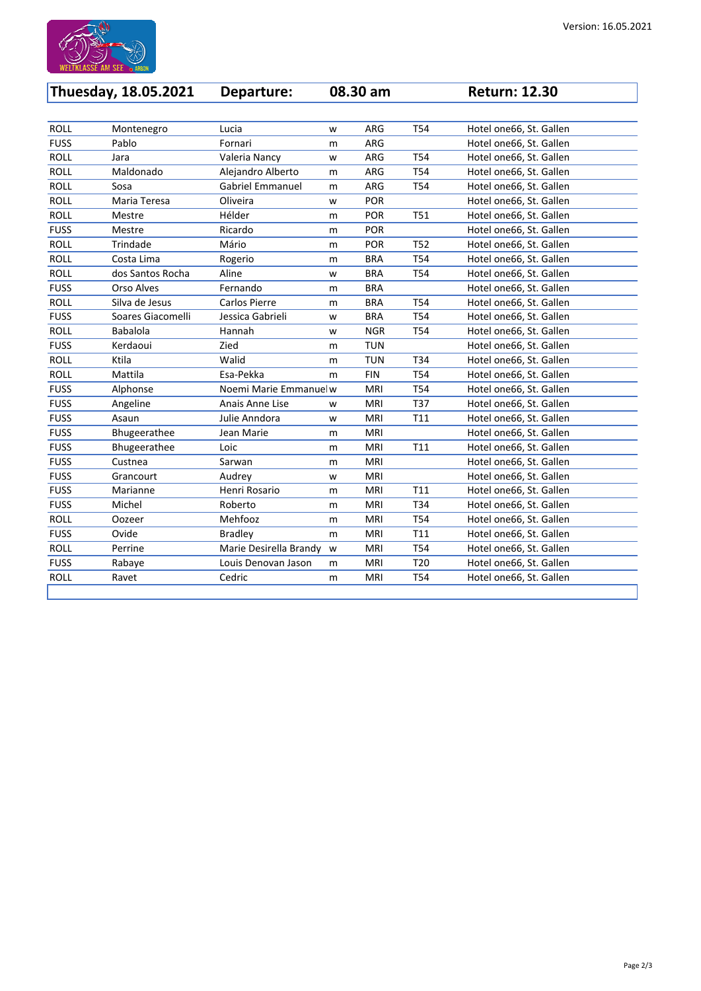

| <b>Thuesday, 18.05.2021</b> |                   | Departure:              |   | 08.30 am   |                 | <b>Return: 12.30</b>    |
|-----------------------------|-------------------|-------------------------|---|------------|-----------------|-------------------------|
|                             |                   |                         |   |            |                 |                         |
| <b>ROLL</b>                 | Montenegro        | Lucia                   | W | ARG        | T54             | Hotel one66, St. Gallen |
| <b>FUSS</b>                 | Pablo             | Fornari                 | m | ARG        |                 | Hotel one66, St. Gallen |
| <b>ROLL</b>                 | Jara              | Valeria Nancy           | W | <b>ARG</b> | T54             | Hotel one66, St. Gallen |
| <b>ROLL</b>                 | Maldonado         | Alejandro Alberto       | m | ARG        | T54             | Hotel one66, St. Gallen |
| <b>ROLL</b>                 | Sosa              | <b>Gabriel Emmanuel</b> | m | <b>ARG</b> | T54             | Hotel one66, St. Gallen |
| <b>ROLL</b>                 | Maria Teresa      | Oliveira                | W | <b>POR</b> |                 | Hotel one66, St. Gallen |
| <b>ROLL</b>                 | Mestre            | Hélder                  | m | <b>POR</b> | <b>T51</b>      | Hotel one66, St. Gallen |
| <b>FUSS</b>                 | Mestre            | Ricardo                 | m | <b>POR</b> |                 | Hotel one66, St. Gallen |
| <b>ROLL</b>                 | Trindade          | Mário                   | m | <b>POR</b> | T52             | Hotel one66, St. Gallen |
| <b>ROLL</b>                 | Costa Lima        | Rogerio                 | m | <b>BRA</b> | T54             | Hotel one66, St. Gallen |
| <b>ROLL</b>                 | dos Santos Rocha  | Aline                   | W | <b>BRA</b> | T54             | Hotel one66, St. Gallen |
| <b>FUSS</b>                 | <b>Orso Alves</b> | Fernando                | m | <b>BRA</b> |                 | Hotel one66, St. Gallen |
| <b>ROLL</b>                 | Silva de Jesus    | <b>Carlos Pierre</b>    | m | <b>BRA</b> | <b>T54</b>      | Hotel one66, St. Gallen |
| <b>FUSS</b>                 | Soares Giacomelli | Jessica Gabrieli        | W | <b>BRA</b> | T54             | Hotel one66, St. Gallen |
| <b>ROLL</b>                 | <b>Babalola</b>   | Hannah                  | W | <b>NGR</b> | T54             | Hotel one66, St. Gallen |
| <b>FUSS</b>                 | Kerdaoui          | Zied                    | m | <b>TUN</b> |                 | Hotel one66, St. Gallen |
| <b>ROLL</b>                 | Ktila             | Walid                   | m | <b>TUN</b> | T34             | Hotel one66, St. Gallen |
| <b>ROLL</b>                 | Mattila           | Esa-Pekka               | m | <b>FIN</b> | T54             | Hotel one66, St. Gallen |
| <b>FUSS</b>                 | Alphonse          | Noemi Marie Emmanuel w  |   | <b>MRI</b> | T54             | Hotel one66, St. Gallen |
| <b>FUSS</b>                 | Angeline          | Anais Anne Lise         | W | <b>MRI</b> | T37             | Hotel one66, St. Gallen |
| <b>FUSS</b>                 | Asaun             | Julie Anndora           | W | <b>MRI</b> | T11             | Hotel one66, St. Gallen |
| <b>FUSS</b>                 | Bhugeerathee      | Jean Marie              | m | <b>MRI</b> |                 | Hotel one66, St. Gallen |
| <b>FUSS</b>                 | Bhugeerathee      | Loic                    | m | <b>MRI</b> | T11             | Hotel one66, St. Gallen |
| <b>FUSS</b>                 | Custnea           | Sarwan                  | m | <b>MRI</b> |                 | Hotel one66, St. Gallen |
| <b>FUSS</b>                 | Grancourt         | Audrey                  | W | <b>MRI</b> |                 | Hotel one66, St. Gallen |
| <b>FUSS</b>                 | Marianne          | Henri Rosario           | m | <b>MRI</b> | T11             | Hotel one66, St. Gallen |
| <b>FUSS</b>                 | Michel            | Roberto                 | m | <b>MRI</b> | T34             | Hotel one66, St. Gallen |
| <b>ROLL</b>                 | Oozeer            | Mehfooz                 | m | <b>MRI</b> | T54             | Hotel one66, St. Gallen |
| <b>FUSS</b>                 | Ovide             | <b>Bradley</b>          | m | <b>MRI</b> | T11             | Hotel one66, St. Gallen |
| <b>ROLL</b>                 | Perrine           | Marie Desirella Brandy  | W | <b>MRI</b> | T54             | Hotel one66, St. Gallen |
| <b>FUSS</b>                 | Rabaye            | Louis Denovan Jason     | m | <b>MRI</b> | T <sub>20</sub> | Hotel one66, St. Gallen |

ROLL Ravet Cedric m MRI T54 Hotel one66, St. Gallen